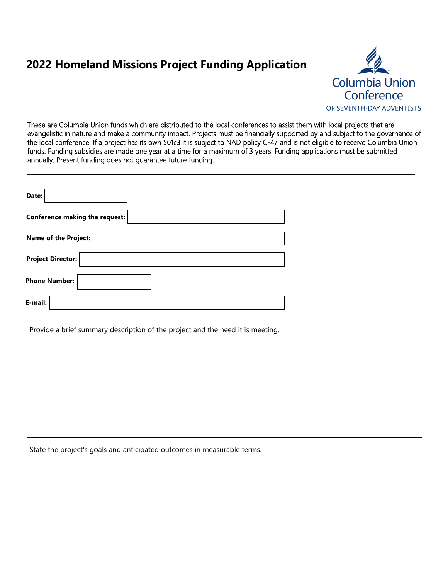# **2022 Homeland Missions Project Funding Application**



These are Columbia Union funds which are distributed to the local conferences to assist them with local projects that are evangelistic in nature and make a community impact. Projects must be financially supported by and subject to the governance of the local conference. If a project has its own 501c3 it is subject to NAD policy C-47 and is not eligible to receive Columbia Union funds. Funding subsidies are made one year at a time for a maximum of 3 years. Funding applications must be submitted annually. Present funding does not guarantee future funding.

| Date:                             |
|-----------------------------------|
| Conference making the request:  - |
| <b>Name of the Project:</b>       |
| <b>Project Director:</b>          |
| <b>Phone Number:</b>              |
| E-mail:                           |

Provide a brief summary description of the project and the need it is meeting.

State the project's goals and anticipated outcomes in measurable terms.